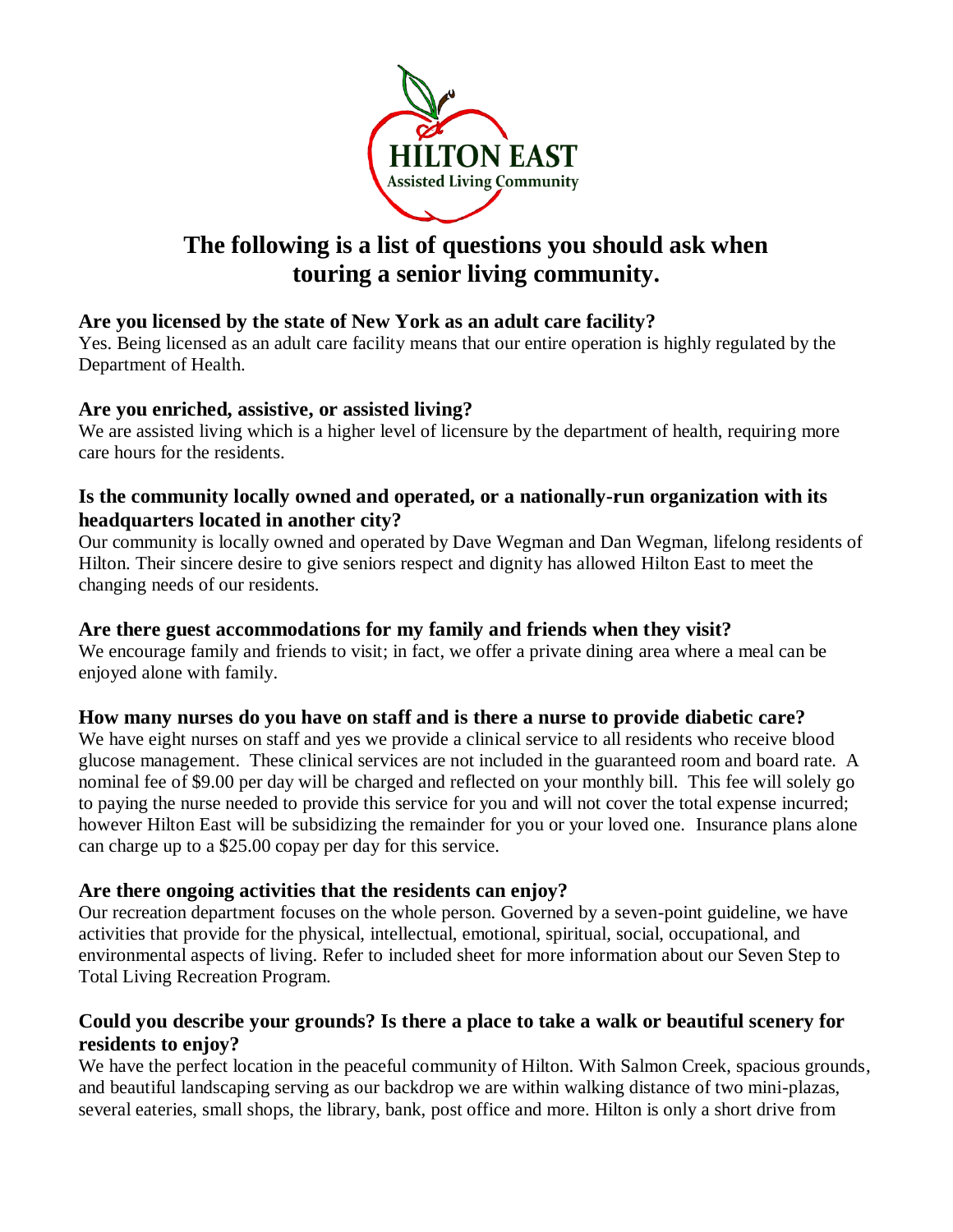

# **The following is a list of questions you should ask when touring a senior living community.**

## **Are you licensed by the state of New York as an adult care facility?**

Yes. Being licensed as an adult care facility means that our entire operation is highly regulated by the Department of Health.

#### **Are you enriched, assistive, or assisted living?**

We are assisted living which is a higher level of licensure by the department of health, requiring more care hours for the residents.

#### **Is the community locally owned and operated, or a nationally-run organization with its headquarters located in another city?**

Our community is locally owned and operated by Dave Wegman and Dan Wegman, lifelong residents of Hilton. Their sincere desire to give seniors respect and dignity has allowed Hilton East to meet the changing needs of our residents.

## **Are there guest accommodations for my family and friends when they visit?**

We encourage family and friends to visit; in fact, we offer a private dining area where a meal can be enjoyed alone with family.

## **How many nurses do you have on staff and is there a nurse to provide diabetic care?**

We have eight nurses on staff and yes we provide a clinical service to all residents who receive blood glucose management. These clinical services are not included in the guaranteed room and board rate. A nominal fee of \$9.00 per day will be charged and reflected on your monthly bill. This fee will solely go to paying the nurse needed to provide this service for you and will not cover the total expense incurred; however Hilton East will be subsidizing the remainder for you or your loved one. Insurance plans alone can charge up to a \$25.00 copay per day for this service.

## **Are there ongoing activities that the residents can enjoy?**

Our recreation department focuses on the whole person. Governed by a seven-point guideline, we have activities that provide for the physical, intellectual, emotional, spiritual, social, occupational, and environmental aspects of living. Refer to included sheet for more information about our Seven Step to Total Living Recreation Program.

## **Could you describe your grounds? Is there a place to take a walk or beautiful scenery for residents to enjoy?**

We have the perfect location in the peaceful community of Hilton. With Salmon Creek, spacious grounds, and beautiful landscaping serving as our backdrop we are within walking distance of two mini-plazas, several eateries, small shops, the library, bank, post office and more. Hilton is only a short drive from